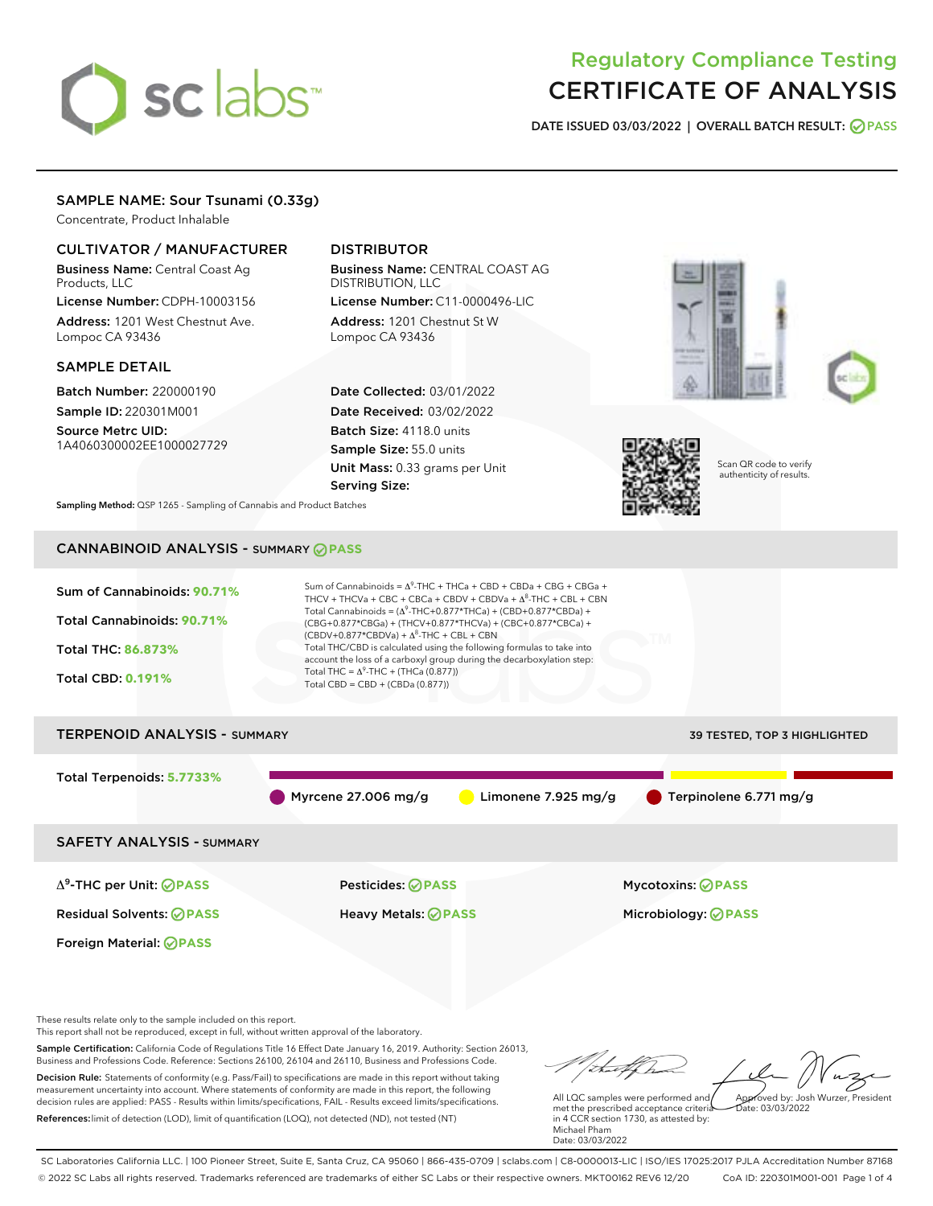# sclabs<sup>\*</sup>

# Regulatory Compliance Testing CERTIFICATE OF ANALYSIS

DATE ISSUED 03/03/2022 | OVERALL BATCH RESULT: @ PASS

# SAMPLE NAME: Sour Tsunami (0.33g)

Concentrate, Product Inhalable

# CULTIVATOR / MANUFACTURER

Business Name: Central Coast Ag Products, LLC

License Number: CDPH-10003156 Address: 1201 West Chestnut Ave. Lompoc CA 93436

# SAMPLE DETAIL

Batch Number: 220000190 Sample ID: 220301M001

Source Metrc UID: 1A4060300002EE1000027729

# DISTRIBUTOR

Business Name: CENTRAL COAST AG DISTRIBUTION, LLC License Number: C11-0000496-LIC

Address: 1201 Chestnut St W Lompoc CA 93436

Date Collected: 03/01/2022 Date Received: 03/02/2022 Batch Size: 4118.0 units Sample Size: 55.0 units Unit Mass: 0.33 grams per Unit Serving Size:







Scan QR code to verify authenticity of results.

Sampling Method: QSP 1265 - Sampling of Cannabis and Product Batches

# CANNABINOID ANALYSIS - SUMMARY **PASS**



Business and Professions Code. Reference: Sections 26100, 26104 and 26110, Business and Professions Code. Decision Rule: Statements of conformity (e.g. Pass/Fail) to specifications are made in this report without taking measurement uncertainty into account. Where statements of conformity are made in this report, the following decision rules are applied: PASS - Results within limits/specifications, FAIL - Results exceed limits/specifications. References:limit of detection (LOD), limit of quantification (LOQ), not detected (ND), not tested (NT)

Approved by: Josh Wurzer, President

 $ate: 03/03/2022$ 

All LQC samples were performed and met the prescribed acceptance criteria in 4 CCR section 1730, as attested by: Michael Pham Date: 03/03/2022

SC Laboratories California LLC. | 100 Pioneer Street, Suite E, Santa Cruz, CA 95060 | 866-435-0709 | sclabs.com | C8-0000013-LIC | ISO/IES 17025:2017 PJLA Accreditation Number 87168 © 2022 SC Labs all rights reserved. Trademarks referenced are trademarks of either SC Labs or their respective owners. MKT00162 REV6 12/20 CoA ID: 220301M001-001 Page 1 of 4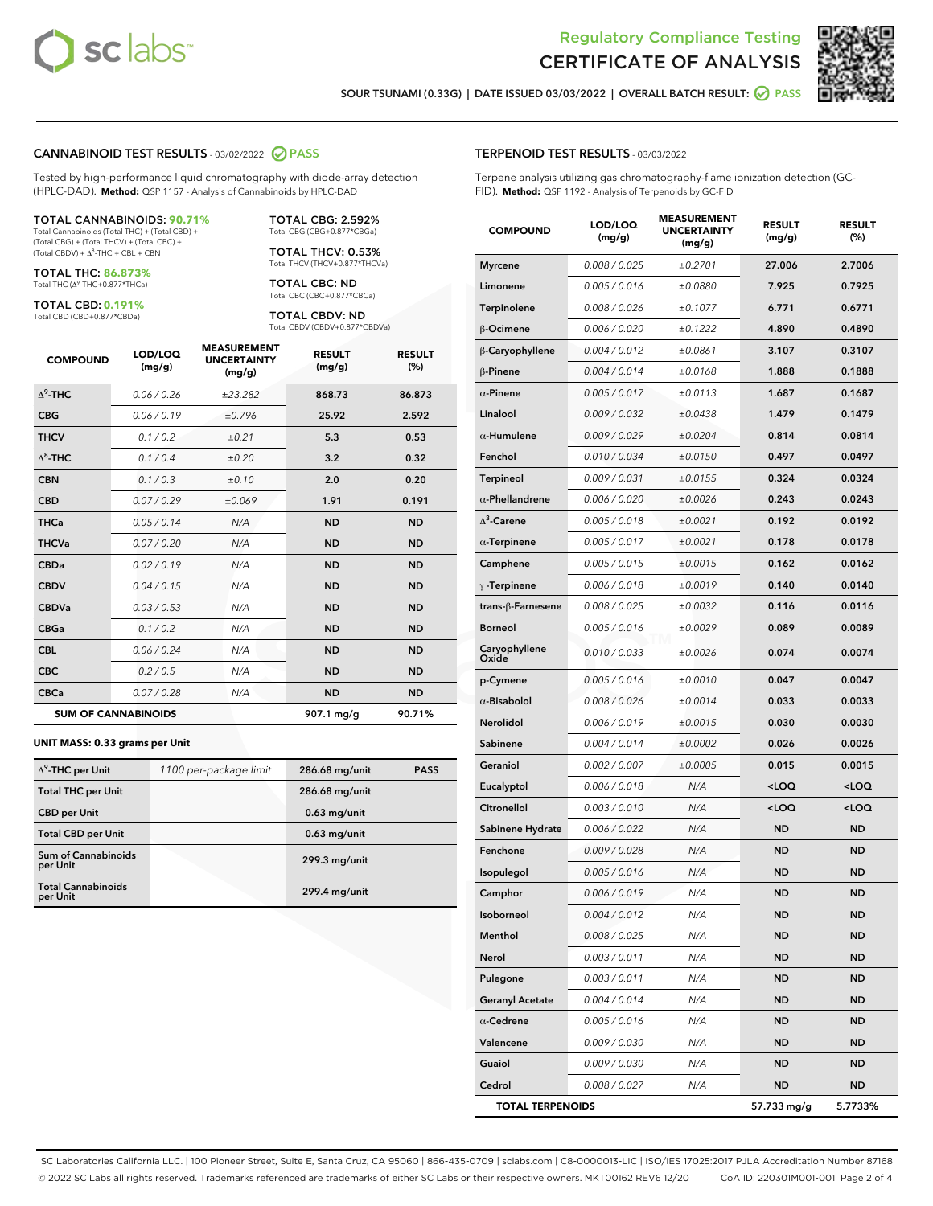



SOUR TSUNAMI (0.33G) | DATE ISSUED 03/03/2022 | OVERALL BATCH RESULT: **○** PASS

# CANNABINOID TEST RESULTS - 03/02/2022 2 PASS

Tested by high-performance liquid chromatography with diode-array detection (HPLC-DAD). **Method:** QSP 1157 - Analysis of Cannabinoids by HPLC-DAD

#### TOTAL CANNABINOIDS: **90.71%** Total Cannabinoids (Total THC) + (Total CBD) +

(Total CBG) + (Total THCV) + (Total CBC) +  $(Total CBDV) +  $\Delta^8$ -THC + CBL + CBN$ 

TOTAL THC: **86.873%** Total THC (Δ<sup>9</sup> -THC+0.877\*THCa)

TOTAL CBD: **0.191%**

Total CBD (CBD+0.877\*CBDa)

TOTAL CBG: 2.592% Total CBG (CBG+0.877\*CBGa)

TOTAL THCV: 0.53% Total THCV (THCV+0.877\*THCVa)

TOTAL CBC: ND Total CBC (CBC+0.877\*CBCa)

TOTAL CBDV: ND Total CBDV (CBDV+0.877\*CBDVa)

| <b>COMPOUND</b>  | LOD/LOQ<br>(mg/g)          | <b>MEASUREMENT</b><br><b>UNCERTAINTY</b><br>(mg/g) | <b>RESULT</b><br>(mg/g) | <b>RESULT</b><br>(%) |
|------------------|----------------------------|----------------------------------------------------|-------------------------|----------------------|
| $\Lambda^9$ -THC | 0.06/0.26                  | ±23.282                                            | 868.73                  | 86.873               |
| <b>CBG</b>       | 0.06 / 0.19                | ±0.796                                             | 25.92                   | 2.592                |
| <b>THCV</b>      | 0.1 / 0.2                  | ±0.21                                              | 5.3                     | 0.53                 |
| $\Lambda^8$ -THC | 0.1/0.4                    | ±0.20                                              | 3.2                     | 0.32                 |
| <b>CBN</b>       | 0.1/0.3                    | ±0.10                                              | 2.0                     | 0.20                 |
| <b>CBD</b>       | 0.07/0.29                  | ±0.069                                             | 1.91                    | 0.191                |
| <b>THCa</b>      | 0.05/0.14                  | N/A                                                | <b>ND</b>               | <b>ND</b>            |
| <b>THCVa</b>     | 0.07 / 0.20                | N/A                                                | <b>ND</b>               | <b>ND</b>            |
| <b>CBDa</b>      | 0.02/0.19                  | N/A                                                | <b>ND</b>               | <b>ND</b>            |
| <b>CBDV</b>      | 0.04 / 0.15                | N/A                                                | <b>ND</b>               | <b>ND</b>            |
| <b>CBDVa</b>     | 0.03 / 0.53                | N/A                                                | <b>ND</b>               | <b>ND</b>            |
| <b>CBGa</b>      | 0.1/0.2                    | N/A                                                | <b>ND</b>               | <b>ND</b>            |
| <b>CBL</b>       | 0.06 / 0.24                | N/A                                                | <b>ND</b>               | <b>ND</b>            |
| <b>CBC</b>       | 0.2 / 0.5                  | N/A                                                | <b>ND</b>               | <b>ND</b>            |
| <b>CBCa</b>      | 0.07 / 0.28                | N/A                                                | <b>ND</b>               | <b>ND</b>            |
|                  | <b>SUM OF CANNABINOIDS</b> |                                                    | 907.1 mg/g              | 90.71%               |

#### **UNIT MASS: 0.33 grams per Unit**

| $\Delta^9$ -THC per Unit               | 1100 per-package limit | 286.68 mg/unit  | <b>PASS</b> |
|----------------------------------------|------------------------|-----------------|-------------|
| <b>Total THC per Unit</b>              |                        | 286.68 mg/unit  |             |
| <b>CBD</b> per Unit                    |                        | $0.63$ mg/unit  |             |
| <b>Total CBD per Unit</b>              |                        | $0.63$ mg/unit  |             |
| <b>Sum of Cannabinoids</b><br>per Unit |                        | 299.3 mg/unit   |             |
| <b>Total Cannabinoids</b><br>per Unit  |                        | $299.4$ mg/unit |             |

#### TERPENOID TEST RESULTS - 03/03/2022

Terpene analysis utilizing gas chromatography-flame ionization detection (GC-FID). **Method:** QSP 1192 - Analysis of Terpenoids by GC-FID

| <b>COMPOUND</b>         | LOD/LOQ<br>(mg/g) | <b>MEASUREMENT</b><br><b>UNCERTAINTY</b><br>(mg/g) | <b>RESULT</b><br>(mg/g)                         | <b>RESULT</b><br>(%) |
|-------------------------|-------------------|----------------------------------------------------|-------------------------------------------------|----------------------|
| <b>Myrcene</b>          | 0.008 / 0.025     | ±0.2701                                            | 27.006                                          | 2.7006               |
| Limonene                | 0.005 / 0.016     | ±0.0880                                            | 7.925                                           | 0.7925               |
| Terpinolene             | 0.008 / 0.026     | ±0.1077                                            | 6.771                                           | 0.6771               |
| β-Ocimene               | 0.006 / 0.020     | ±0.1222                                            | 4.890                                           | 0.4890               |
| β-Caryophyllene         | 0.004 / 0.012     | ±0.0861                                            | 3.107                                           | 0.3107               |
| $\beta$ -Pinene         | 0.004 / 0.014     | ±0.0168                                            | 1.888                                           | 0.1888               |
| $\alpha$ -Pinene        | 0.005 / 0.017     | ±0.0113                                            | 1.687                                           | 0.1687               |
| Linalool                | 0.009 / 0.032     | ±0.0438                                            | 1.479                                           | 0.1479               |
| $\alpha$ -Humulene      | 0.009/0.029       | ±0.0204                                            | 0.814                                           | 0.0814               |
| Fenchol                 | 0.010 / 0.034     | ±0.0150                                            | 0.497                                           | 0.0497               |
| <b>Terpineol</b>        | 0.009 / 0.031     | ±0.0155                                            | 0.324                                           | 0.0324               |
| $\alpha$ -Phellandrene  | 0.006 / 0.020     | ±0.0026                                            | 0.243                                           | 0.0243               |
| $\Delta^3$ -Carene      | 0.005 / 0.018     | ±0.0021                                            | 0.192                                           | 0.0192               |
| $\alpha$ -Terpinene     | 0.005 / 0.017     | ±0.0021                                            | 0.178                                           | 0.0178               |
| Camphene                | 0.005 / 0.015     | ±0.0015                                            | 0.162                                           | 0.0162               |
| $\gamma$ -Terpinene     | 0.006 / 0.018     | ±0.0019                                            | 0.140                                           | 0.0140               |
| trans-β-Farnesene       | 0.008 / 0.025     | ±0.0032                                            | 0.116                                           | 0.0116               |
| <b>Borneol</b>          | 0.005 / 0.016     | ±0.0029                                            | 0.089                                           | 0.0089               |
| Caryophyllene<br>Oxide  | 0.010 / 0.033     | ±0.0026                                            | 0.074                                           | 0.0074               |
| p-Cymene                | 0.005 / 0.016     | ±0.0010                                            | 0.047                                           | 0.0047               |
| $\alpha$ -Bisabolol     | 0.008 / 0.026     | ±0.0014                                            | 0.033                                           | 0.0033               |
| Nerolidol               | 0.006 / 0.019     | ±0.0015                                            | 0.030                                           | 0.0030               |
| Sabinene                | 0.004 / 0.014     | ±0.0002                                            | 0.026                                           | 0.0026               |
| Geraniol                | 0.002 / 0.007     | ±0.0005                                            | 0.015                                           | 0.0015               |
| Eucalyptol              | 0.006 / 0.018     | N/A                                                | <loq< th=""><th><loq< th=""></loq<></th></loq<> | <loq< th=""></loq<>  |
| Citronellol             | 0.003 / 0.010     | N/A                                                | <loq< th=""><th><loq< th=""></loq<></th></loq<> | <loq< th=""></loq<>  |
| Sabinene Hydrate        | 0.006 / 0.022     | N/A                                                | <b>ND</b>                                       | <b>ND</b>            |
| Fenchone                | 0.009 / 0.028     | N/A                                                | ND                                              | <b>ND</b>            |
| Isopulegol              | 0.005 / 0.016     | N/A                                                | <b>ND</b>                                       | ND                   |
| Camphor                 | 0.006 / 0.019     | N/A                                                | <b>ND</b>                                       | <b>ND</b>            |
| Isoborneol              | 0.004 / 0.012     | N/A                                                | ND                                              | ND                   |
| Menthol                 | 0.008 / 0.025     | N/A                                                | <b>ND</b>                                       | <b>ND</b>            |
| Nerol                   | 0.003 / 0.011     | N/A                                                | <b>ND</b>                                       | <b>ND</b>            |
| Pulegone                | 0.003 / 0.011     | N/A                                                | ND                                              | ND                   |
| <b>Geranyl Acetate</b>  | 0.004 / 0.014     | N/A                                                | <b>ND</b>                                       | ND                   |
| $\alpha$ -Cedrene       | 0.005 / 0.016     | N/A                                                | <b>ND</b>                                       | <b>ND</b>            |
| Valencene               | 0.009 / 0.030     | N/A                                                | ND                                              | ND                   |
| Guaiol                  | 0.009 / 0.030     | N/A                                                | <b>ND</b>                                       | ND                   |
| Cedrol                  | 0.008 / 0.027     | N/A                                                | <b>ND</b>                                       | ND                   |
| <b>TOTAL TERPENOIDS</b> |                   |                                                    | 57.733 mg/g                                     | 5.7733%              |

SC Laboratories California LLC. | 100 Pioneer Street, Suite E, Santa Cruz, CA 95060 | 866-435-0709 | sclabs.com | C8-0000013-LIC | ISO/IES 17025:2017 PJLA Accreditation Number 87168 © 2022 SC Labs all rights reserved. Trademarks referenced are trademarks of either SC Labs or their respective owners. MKT00162 REV6 12/20 CoA ID: 220301M001-001 Page 2 of 4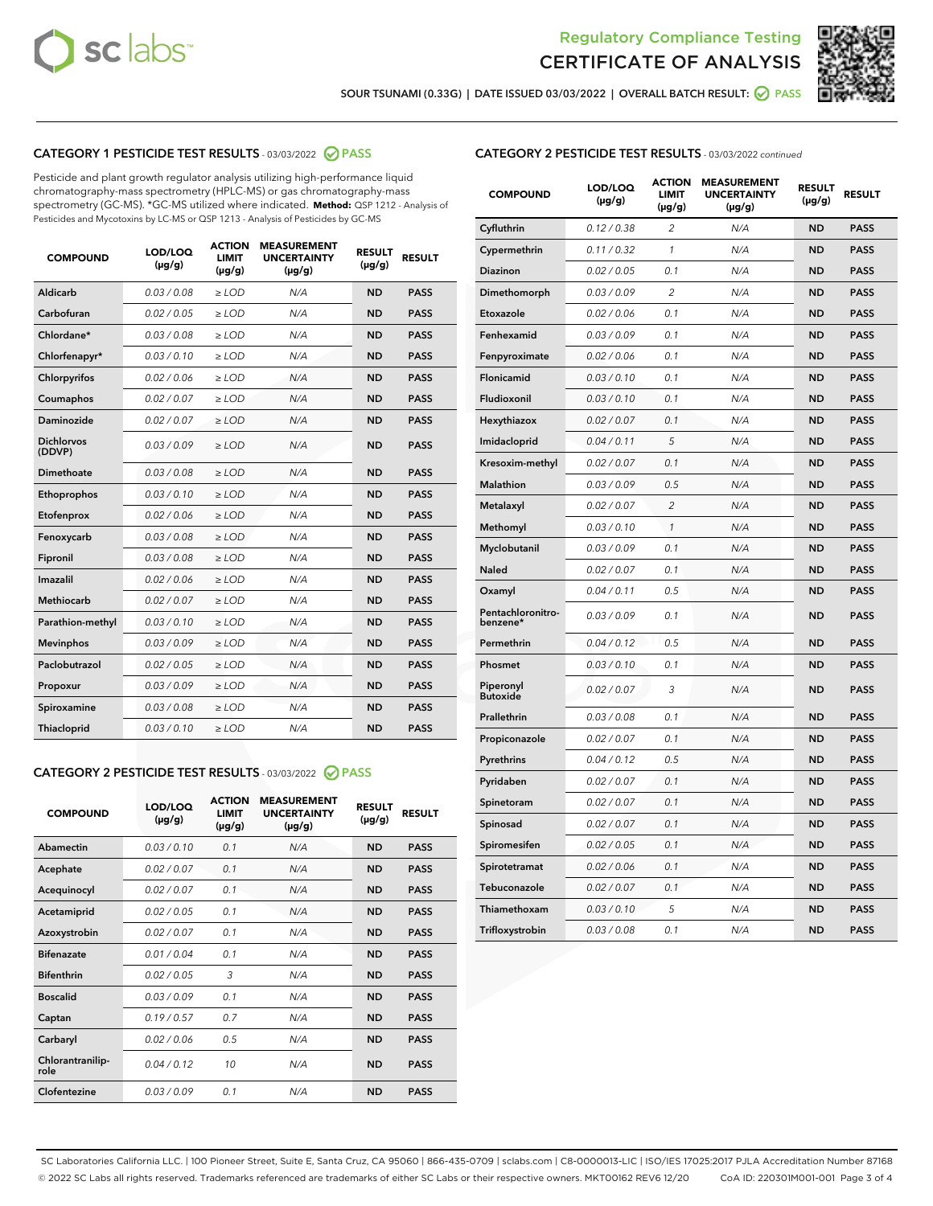



SOUR TSUNAMI (0.33G) | DATE ISSUED 03/03/2022 | OVERALL BATCH RESULT: **○** PASS

# CATEGORY 1 PESTICIDE TEST RESULTS - 03/03/2022 2 PASS

Pesticide and plant growth regulator analysis utilizing high-performance liquid chromatography-mass spectrometry (HPLC-MS) or gas chromatography-mass spectrometry (GC-MS). \*GC-MS utilized where indicated. **Method:** QSP 1212 - Analysis of Pesticides and Mycotoxins by LC-MS or QSP 1213 - Analysis of Pesticides by GC-MS

| <b>COMPOUND</b>             | LOD/LOQ<br>$(\mu g/g)$ | <b>ACTION</b><br><b>LIMIT</b><br>$(\mu g/g)$ | <b>MEASUREMENT</b><br><b>UNCERTAINTY</b><br>$(\mu g/g)$ | <b>RESULT</b><br>$(\mu g/g)$ | <b>RESULT</b> |
|-----------------------------|------------------------|----------------------------------------------|---------------------------------------------------------|------------------------------|---------------|
| Aldicarb                    | 0.03 / 0.08            | $\ge$ LOD                                    | N/A                                                     | <b>ND</b>                    | <b>PASS</b>   |
| Carbofuran                  | 0.02 / 0.05            | $\ge$ LOD                                    | N/A                                                     | <b>ND</b>                    | <b>PASS</b>   |
| Chlordane*                  | 0.03 / 0.08            | $\ge$ LOD                                    | N/A                                                     | <b>ND</b>                    | <b>PASS</b>   |
| Chlorfenapyr*               | 0.03/0.10              | $\ge$ LOD                                    | N/A                                                     | <b>ND</b>                    | <b>PASS</b>   |
| Chlorpyrifos                | 0.02/0.06              | $\ge$ LOD                                    | N/A                                                     | <b>ND</b>                    | <b>PASS</b>   |
| Coumaphos                   | 0.02 / 0.07            | $\geq$ LOD                                   | N/A                                                     | <b>ND</b>                    | <b>PASS</b>   |
| Daminozide                  | 0.02 / 0.07            | $>$ LOD                                      | N/A                                                     | <b>ND</b>                    | <b>PASS</b>   |
| <b>Dichlorvos</b><br>(DDVP) | 0.03/0.09              | $\ge$ LOD                                    | N/A                                                     | <b>ND</b>                    | <b>PASS</b>   |
| Dimethoate                  | 0.03/0.08              | $>$ LOD                                      | N/A                                                     | <b>ND</b>                    | <b>PASS</b>   |
| Ethoprophos                 | 0.03/0.10              | $\ge$ LOD                                    | N/A                                                     | <b>ND</b>                    | <b>PASS</b>   |
| Etofenprox                  | 0.02 / 0.06            | $\geq$ LOD                                   | N/A                                                     | <b>ND</b>                    | <b>PASS</b>   |
| Fenoxycarb                  | 0.03/0.08              | $>$ LOD                                      | N/A                                                     | <b>ND</b>                    | <b>PASS</b>   |
| Fipronil                    | 0.03 / 0.08            | $\ge$ LOD                                    | N/A                                                     | <b>ND</b>                    | <b>PASS</b>   |
| Imazalil                    | 0.02 / 0.06            | $>$ LOD                                      | N/A                                                     | <b>ND</b>                    | <b>PASS</b>   |
| <b>Methiocarb</b>           | 0.02 / 0.07            | $\ge$ LOD                                    | N/A                                                     | <b>ND</b>                    | <b>PASS</b>   |
| Parathion-methyl            | 0.03/0.10              | $\geq$ LOD                                   | N/A                                                     | <b>ND</b>                    | <b>PASS</b>   |
| <b>Mevinphos</b>            | 0.03/0.09              | $\ge$ LOD                                    | N/A                                                     | <b>ND</b>                    | <b>PASS</b>   |
| Paclobutrazol               | 0.02 / 0.05            | $\ge$ LOD                                    | N/A                                                     | <b>ND</b>                    | <b>PASS</b>   |
| Propoxur                    | 0.03/0.09              | $\ge$ LOD                                    | N/A                                                     | <b>ND</b>                    | <b>PASS</b>   |
| Spiroxamine                 | 0.03 / 0.08            | $\ge$ LOD                                    | N/A                                                     | <b>ND</b>                    | <b>PASS</b>   |
| Thiacloprid                 | 0.03/0.10              | $>$ LOD                                      | N/A                                                     | <b>ND</b>                    | <b>PASS</b>   |

# CATEGORY 2 PESTICIDE TEST RESULTS - 03/03/2022 @ PASS

| <b>COMPOUND</b>          | LOD/LOQ<br>$(\mu g/g)$ | <b>ACTION</b><br><b>LIMIT</b><br>$(\mu g/g)$ | <b>MEASUREMENT</b><br><b>UNCERTAINTY</b><br>$(\mu g/g)$ | <b>RESULT</b><br>$(\mu g/g)$ | <b>RESULT</b> |
|--------------------------|------------------------|----------------------------------------------|---------------------------------------------------------|------------------------------|---------------|
| Abamectin                | 0.03/0.10              | 0.1                                          | N/A                                                     | <b>ND</b>                    | <b>PASS</b>   |
| Acephate                 | 0.02/0.07              | 0.1                                          | N/A                                                     | <b>ND</b>                    | <b>PASS</b>   |
| Acequinocyl              | 0.02/0.07              | 0.1                                          | N/A                                                     | <b>ND</b>                    | <b>PASS</b>   |
| Acetamiprid              | 0.02/0.05              | 0.1                                          | N/A                                                     | <b>ND</b>                    | <b>PASS</b>   |
| Azoxystrobin             | 0.02 / 0.07            | 0.1                                          | N/A                                                     | <b>ND</b>                    | <b>PASS</b>   |
| <b>Bifenazate</b>        | 0.01/0.04              | 0.1                                          | N/A                                                     | <b>ND</b>                    | <b>PASS</b>   |
| <b>Bifenthrin</b>        | 0.02 / 0.05            | 3                                            | N/A                                                     | <b>ND</b>                    | <b>PASS</b>   |
| <b>Boscalid</b>          | 0.03/0.09              | 0.1                                          | N/A                                                     | <b>ND</b>                    | <b>PASS</b>   |
| Captan                   | 0.19/0.57              | 0.7                                          | N/A                                                     | <b>ND</b>                    | <b>PASS</b>   |
| Carbaryl                 | 0.02/0.06              | 0.5                                          | N/A                                                     | <b>ND</b>                    | <b>PASS</b>   |
| Chlorantranilip-<br>role | 0.04/0.12              | 10                                           | N/A                                                     | <b>ND</b>                    | <b>PASS</b>   |
| Clofentezine             | 0.03/0.09              | 0.1                                          | N/A                                                     | <b>ND</b>                    | <b>PASS</b>   |

|  |  |  | <b>CATEGORY 2 PESTICIDE TEST RESULTS</b> - 03/03/2022 continued |
|--|--|--|-----------------------------------------------------------------|
|--|--|--|-----------------------------------------------------------------|

| <b>COMPOUND</b>               | LOD/LOQ<br>(µg/g) | <b>ACTION</b><br>LIMIT<br>(µg/g) | <b>MEASUREMENT</b><br><b>UNCERTAINTY</b><br>(µg/g) | <b>RESULT</b><br>(µg/g) | <b>RESULT</b> |
|-------------------------------|-------------------|----------------------------------|----------------------------------------------------|-------------------------|---------------|
| Cyfluthrin                    | 0.12 / 0.38       | $\overline{2}$                   | N/A                                                | <b>ND</b>               | <b>PASS</b>   |
| Cypermethrin                  | 0.11 / 0.32       | $\mathcal{I}$                    | N/A                                                | <b>ND</b>               | <b>PASS</b>   |
| Diazinon                      | 0.02 / 0.05       | 0.1                              | N/A                                                | <b>ND</b>               | <b>PASS</b>   |
| Dimethomorph                  | 0.03 / 0.09       | $\overline{c}$                   | N/A                                                | <b>ND</b>               | <b>PASS</b>   |
| Etoxazole                     | 0.02 / 0.06       | 0.1                              | N/A                                                | <b>ND</b>               | <b>PASS</b>   |
| Fenhexamid                    | 0.03 / 0.09       | 0.1                              | N/A                                                | <b>ND</b>               | <b>PASS</b>   |
| Fenpyroximate                 | 0.02 / 0.06       | 0.1                              | N/A                                                | <b>ND</b>               | <b>PASS</b>   |
| Flonicamid                    | 0.03 / 0.10       | 0.1                              | N/A                                                | <b>ND</b>               | <b>PASS</b>   |
| Fludioxonil                   | 0.03 / 0.10       | 0.1                              | N/A                                                | <b>ND</b>               | <b>PASS</b>   |
| Hexythiazox                   | 0.02 / 0.07       | 0.1                              | N/A                                                | ND                      | <b>PASS</b>   |
| Imidacloprid                  | 0.04 / 0.11       | 5                                | N/A                                                | <b>ND</b>               | <b>PASS</b>   |
| Kresoxim-methyl               | 0.02 / 0.07       | 0.1                              | N/A                                                | <b>ND</b>               | <b>PASS</b>   |
| Malathion                     | 0.03 / 0.09       | 0.5                              | N/A                                                | <b>ND</b>               | <b>PASS</b>   |
| Metalaxyl                     | 0.02 / 0.07       | $\overline{c}$                   | N/A                                                | <b>ND</b>               | <b>PASS</b>   |
| Methomyl                      | 0.03 / 0.10       | $\mathcal{I}$                    | N/A                                                | <b>ND</b>               | <b>PASS</b>   |
| Myclobutanil                  | 0.03 / 0.09       | 0.1                              | N/A                                                | <b>ND</b>               | <b>PASS</b>   |
| Naled                         | 0.02 / 0.07       | 0.1                              | N/A                                                | ND                      | <b>PASS</b>   |
| Oxamyl                        | 0.04 / 0.11       | 0.5                              | N/A                                                | <b>ND</b>               | <b>PASS</b>   |
| Pentachloronitro-<br>benzene* | 0.03 / 0.09       | 0.1                              | N/A                                                | ND                      | <b>PASS</b>   |
| Permethrin                    | 0.04 / 0.12       | 0.5                              | N/A                                                | <b>ND</b>               | <b>PASS</b>   |
| Phosmet                       | 0.03 / 0.10       | 0.1                              | N/A                                                | ND                      | <b>PASS</b>   |
| Piperonyl<br><b>Butoxide</b>  | 0.02 / 0.07       | 3                                | N/A                                                | <b>ND</b>               | <b>PASS</b>   |
| Prallethrin                   | 0.03 / 0.08       | 0.1                              | N/A                                                | <b>ND</b>               | <b>PASS</b>   |
| Propiconazole                 | 0.02 / 0.07       | 0.1                              | N/A                                                | <b>ND</b>               | <b>PASS</b>   |
| Pyrethrins                    | 0.04 / 0.12       | 0.5                              | N/A                                                | <b>ND</b>               | <b>PASS</b>   |
| Pyridaben                     | 0.02 / 0.07       | 0.1                              | N/A                                                | <b>ND</b>               | <b>PASS</b>   |
| Spinetoram                    | 0.02 / 0.07       | 0.1                              | N/A                                                | <b>ND</b>               | <b>PASS</b>   |
| Spinosad                      | 0.02 / 0.07       | 0.1                              | N/A                                                | <b>ND</b>               | <b>PASS</b>   |
| Spiromesifen                  | 0.02 / 0.05       | 0.1                              | N/A                                                | <b>ND</b>               | <b>PASS</b>   |
| Spirotetramat                 | 0.02 / 0.06       | 0.1                              | N/A                                                | <b>ND</b>               | <b>PASS</b>   |
| Tebuconazole                  | 0.02 / 0.07       | 0.1                              | N/A                                                | <b>ND</b>               | <b>PASS</b>   |
| Thiamethoxam                  | 0.03 / 0.10       | 5                                | N/A                                                | <b>ND</b>               | <b>PASS</b>   |
| Trifloxystrobin               | 0.03 / 0.08       | 0.1                              | N/A                                                | <b>ND</b>               | <b>PASS</b>   |

SC Laboratories California LLC. | 100 Pioneer Street, Suite E, Santa Cruz, CA 95060 | 866-435-0709 | sclabs.com | C8-0000013-LIC | ISO/IES 17025:2017 PJLA Accreditation Number 87168 © 2022 SC Labs all rights reserved. Trademarks referenced are trademarks of either SC Labs or their respective owners. MKT00162 REV6 12/20 CoA ID: 220301M001-001 Page 3 of 4